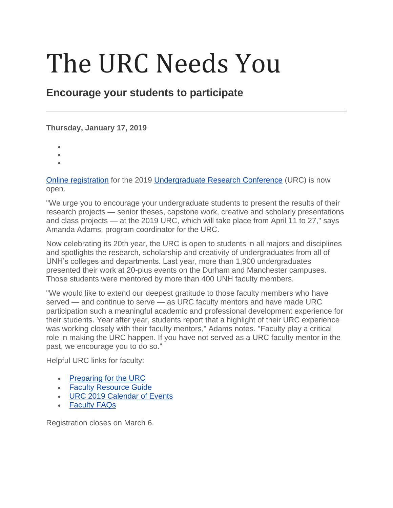## The URC Needs You

## **Encourage your students to participate**

## **Thursday, January 17, 2019**

- •
- •
- •

[Online registration](https://apexprd.unh.edu/pls/apexprod/f?p=1000:LOGIN_DESKTOP:113946032068689:::::) for the 2019 [Undergraduate Research Conference](http://www.unh.edu/urc) (URC) is now open.

"We urge you to encourage your undergraduate students to present the results of their research projects — senior theses, capstone work, creative and scholarly presentations and class projects — at the 2019 URC, which will take place from April 11 to 27," says Amanda Adams, program coordinator for the URC.

Now celebrating its 20th year, the URC is open to students in all majors and disciplines and spotlights the research, scholarship and creativity of undergraduates from all of UNH's colleges and departments. Last year, more than 1,900 undergraduates presented their work at 20-plus events on the Durham and Manchester campuses. Those students were mentored by more than 400 UNH faculty members.

"We would like to extend our deepest gratitude to those faculty members who have served — and continue to serve — as URC faculty mentors and have made URC participation such a meaningful academic and professional development experience for their students. Year after year, students report that a highlight of their URC experience was working closely with their faculty mentors," Adams notes. "Faculty play a critical role in making the URC happen. If you have not served as a URC faculty mentor in the past, we encourage you to do so."

Helpful URC links for faculty:

- [Preparing for the URC](http://www.unh.edu/urc/preparing-urc)
- [Faculty Resource Guide](http://unh.edu/urc/faculty-resource-guide)
- [URC 2019 Calendar of Events](http://www.unh.edu/urc/calendar-events)
- [Faculty FAQs](http://www.unh.edu/urc/faculty)

Registration closes on March 6.